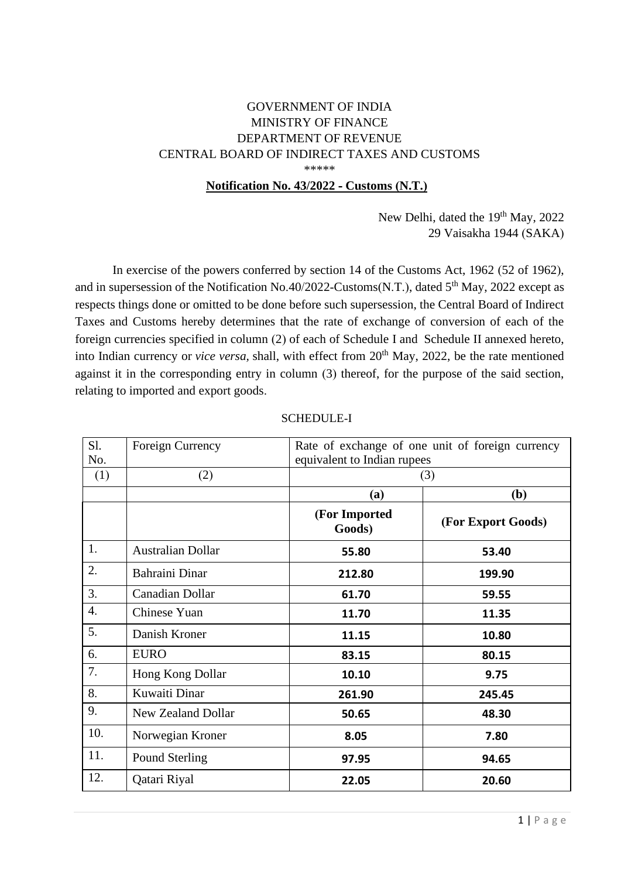## GOVERNMENT OF INDIA MINISTRY OF FINANCE DEPARTMENT OF REVENUE CENTRAL BOARD OF INDIRECT TAXES AND CUSTOMS \*\*\*\*\*

## **Notification No. 43/2022 - Customs (N.T.)**

New Delhi, dated the 19<sup>th</sup> May, 2022 29 Vaisakha 1944 (SAKA)

In exercise of the powers conferred by section 14 of the Customs Act, 1962 (52 of 1962), and in supersession of the Notification No.40/2022-Customs(N.T.), dated 5<sup>th</sup> May, 2022 except as respects things done or omitted to be done before such supersession, the Central Board of Indirect Taxes and Customs hereby determines that the rate of exchange of conversion of each of the foreign currencies specified in column (2) of each of Schedule I and Schedule II annexed hereto, into Indian currency or *vice versa*, shall, with effect from 20<sup>th</sup> May, 2022, be the rate mentioned against it in the corresponding entry in column (3) thereof, for the purpose of the said section, relating to imported and export goods.

| Sl.              | Foreign Currency          | Rate of exchange of one unit of foreign currency |                    |  |
|------------------|---------------------------|--------------------------------------------------|--------------------|--|
| No.              |                           | equivalent to Indian rupees                      |                    |  |
| (1)              | (2)                       |                                                  | (3)                |  |
|                  |                           | (a)                                              | (b)                |  |
|                  |                           | (For Imported<br>Goods)                          | (For Export Goods) |  |
| 1.               | <b>Australian Dollar</b>  | 55.80                                            | 53.40              |  |
| 2.               | Bahraini Dinar            | 212.80                                           | 199.90             |  |
| 3.               | Canadian Dollar           | 61.70                                            | 59.55              |  |
| $\overline{4}$ . | Chinese Yuan              | 11.70                                            | 11.35              |  |
| 5.               | Danish Kroner             | 11.15                                            | 10.80              |  |
| 6.               | <b>EURO</b>               | 83.15                                            | 80.15              |  |
| 7.               | Hong Kong Dollar          | 10.10                                            | 9.75               |  |
| 8.               | Kuwaiti Dinar             | 261.90                                           | 245.45             |  |
| 9.               | <b>New Zealand Dollar</b> | 50.65                                            | 48.30              |  |
| 10.              | Norwegian Kroner          | 8.05                                             | 7.80               |  |
| 11.              | Pound Sterling            | 97.95                                            | 94.65              |  |
| 12.              | Qatari Riyal              | 22.05                                            | 20.60              |  |

## SCHEDULE-I